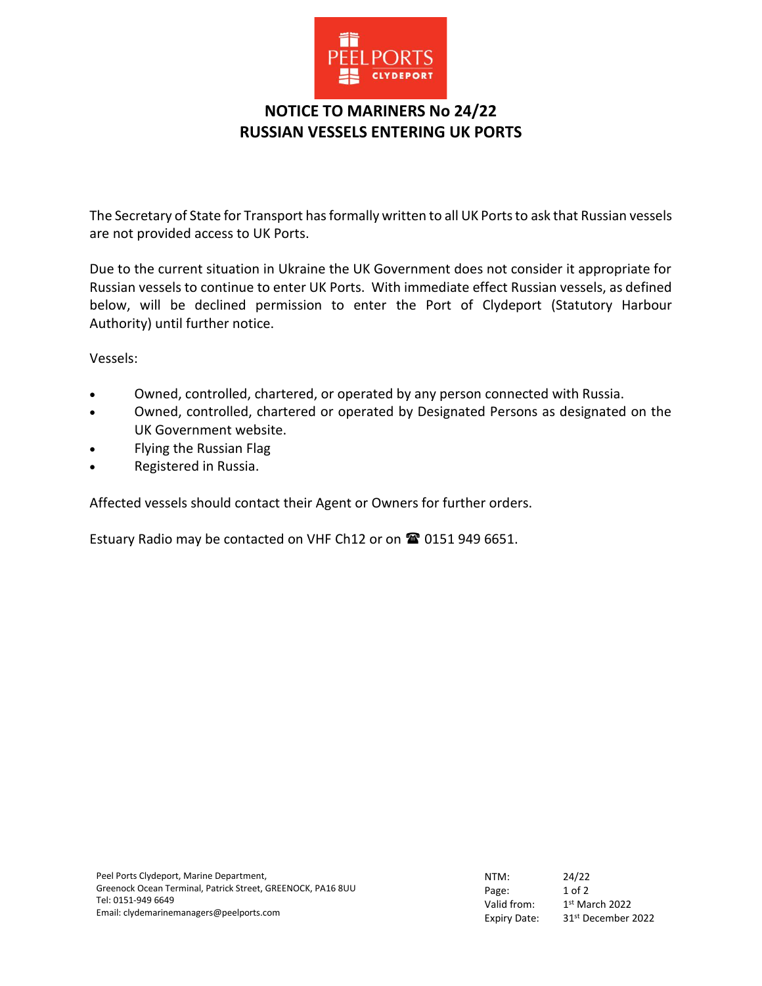

## **NOTICE TO MARINERS No 24/22 RUSSIAN VESSELS ENTERING UK PORTS**

The Secretary of State for Transport has formally written to all UK Ports to ask that Russian vessels are not provided access to UK Ports.

Due to the current situation in Ukraine the UK Government does not consider it appropriate for Russian vessels to continue to enter UK Ports. With immediate effect Russian vessels, as defined below, will be declined permission to enter the Port of Clydeport (Statutory Harbour Authority) until further notice.

Vessels:

- Owned, controlled, chartered, or operated by any person connected with Russia.
- Owned, controlled, chartered or operated by Designated Persons as designated on the UK Government website.
- Flying the Russian Flag
- Registered in Russia.

Affected vessels should contact their Agent or Owners for further orders.

Estuary Radio may be contacted on VHF Ch12 or on <sup>2</sup> 0151 949 6651.